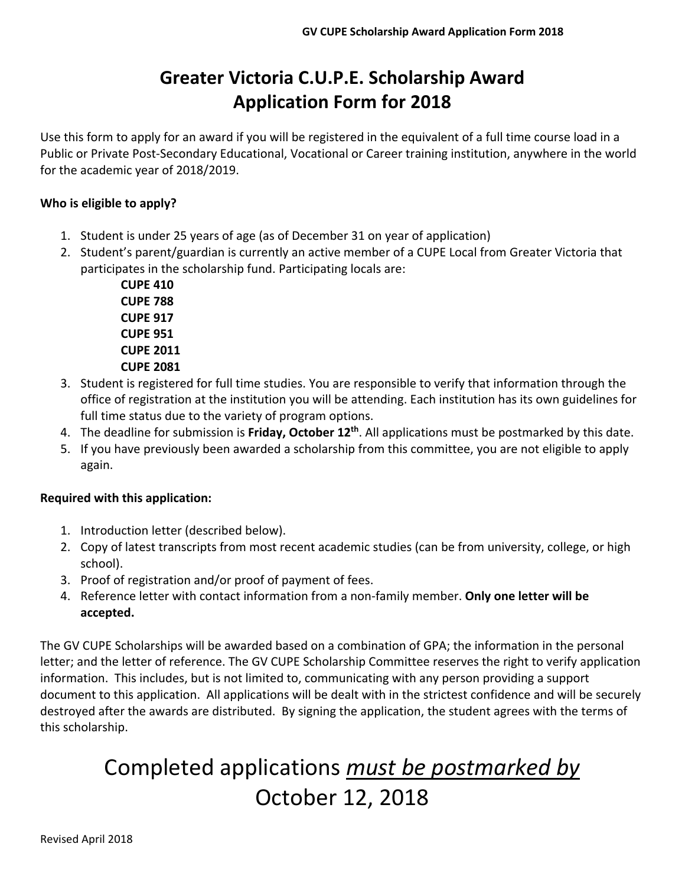# **Greater Victoria C.U.P.E. Scholarship Award Application Form for 2018**

Use this form to apply for an award if you will be registered in the equivalent of a full time course load in a Public or Private Post‐Secondary Educational, Vocational or Career training institution, anywhere in the world for the academic year of 2018/2019.

#### **Who is eligible to apply?**

- 1. Student is under 25 years of age (as of December 31 on year of application)
- 2. Student's parent/guardian is currently an active member of a CUPE Local from Greater Victoria that participates in the scholarship fund. Participating locals are:

**CUPE 410 CUPE 788 CUPE 917 CUPE 951 CUPE 2011 CUPE 2081**

- 3. Student is registered for full time studies. You are responsible to verify that information through the office of registration at the institution you will be attending. Each institution has its own guidelines for full time status due to the variety of program options.
- 4. The deadline for submission is **Friday, October 12th**. All applications must be postmarked by this date.
- 5. If you have previously been awarded a scholarship from this committee, you are not eligible to apply again.

#### **Required with this application:**

- 1. Introduction letter (described below).
- 2. Copy of latest transcripts from most recent academic studies (can be from university, college, or high school).
- 3. Proof of registration and/or proof of payment of fees.
- 4. Reference letter with contact information from a non‐family member. **Only one letter will be accepted.**

The GV CUPE Scholarships will be awarded based on a combination of GPA; the information in the personal letter; and the letter of reference. The GV CUPE Scholarship Committee reserves the right to verify application information. This includes, but is not limited to, communicating with any person providing a support document to this application. All applications will be dealt with in the strictest confidence and will be securely destroyed after the awards are distributed. By signing the application, the student agrees with the terms of this scholarship.

# Completed applications *must be postmarked by* October 12, 2018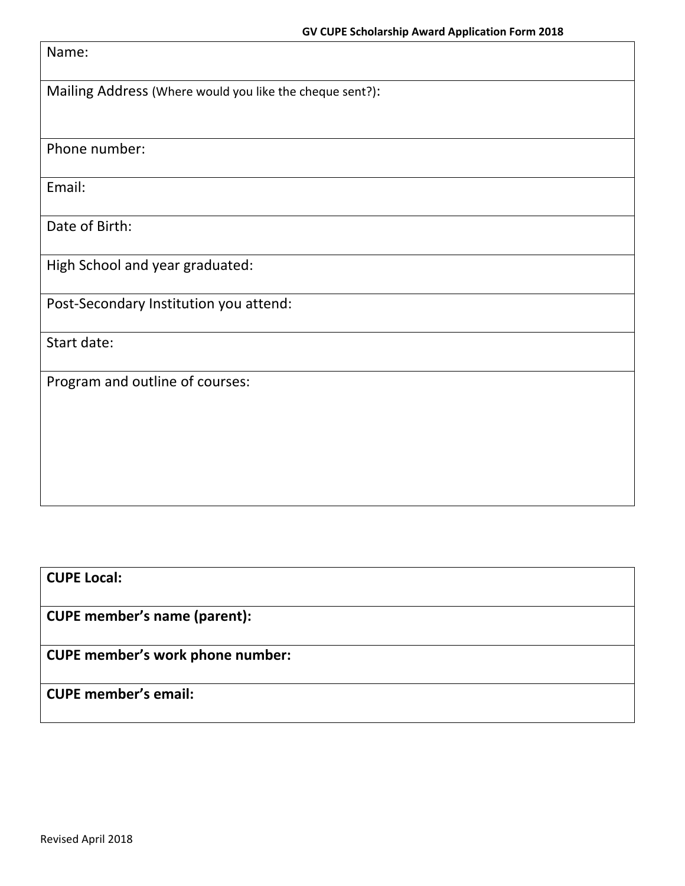| Name:                                                    |
|----------------------------------------------------------|
| Mailing Address (Where would you like the cheque sent?): |
| Phone number:                                            |
| Email:                                                   |
| Date of Birth:                                           |
| High School and year graduated:                          |
| Post-Secondary Institution you attend:                   |
| Start date:                                              |
| Program and outline of courses:                          |
|                                                          |
|                                                          |
|                                                          |

**CUPE Local:**

**CUPE member's name (parent):**

**CUPE member's work phone number:**

**CUPE member's email:**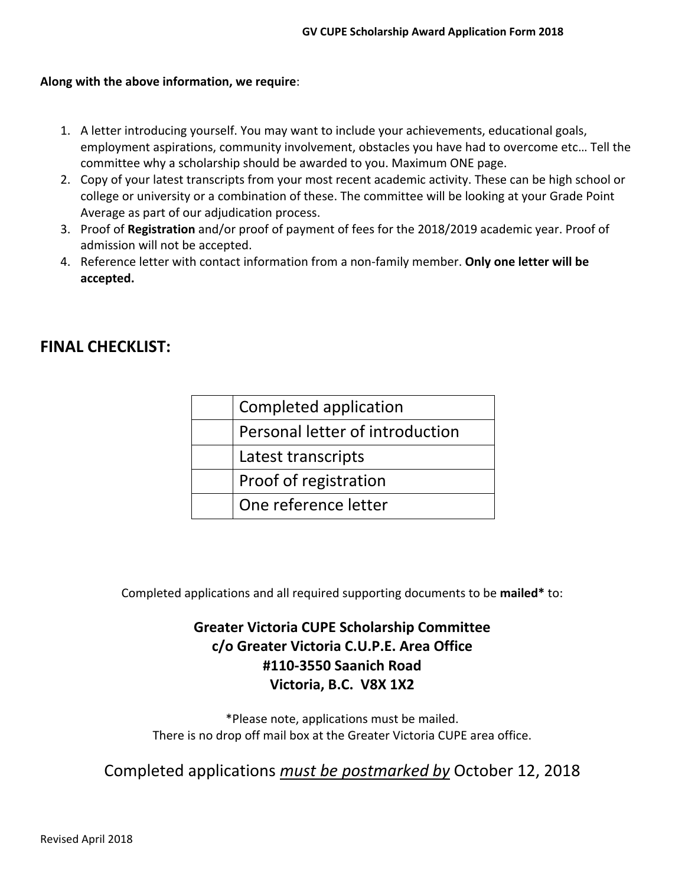#### **Along with the above information, we require**:

- 1. A letter introducing yourself. You may want to include your achievements, educational goals, employment aspirations, community involvement, obstacles you have had to overcome etc… Tell the committee why a scholarship should be awarded to you. Maximum ONE page.
- 2. Copy of your latest transcripts from your most recent academic activity. These can be high school or college or university or a combination of these. The committee will be looking at your Grade Point Average as part of our adjudication process.
- 3. Proof of **Registration** and/or proof of payment of fees for the 2018/2019 academic year. Proof of admission will not be accepted.
- 4. Reference letter with contact information from a non‐family member. **Only one letter will be accepted.**

### **FINAL CHECKLIST:**

| Completed application           |
|---------------------------------|
| Personal letter of introduction |
| Latest transcripts              |
| Proof of registration           |
| One reference letter            |

Completed applications and all required supporting documents to be **mailed\*** to:

## **Greater Victoria CUPE Scholarship Committee c/o Greater Victoria C.U.P.E. Area Office #110‐3550 Saanich Road Victoria, B.C. V8X 1X2**

\*Please note, applications must be mailed. There is no drop off mail box at the Greater Victoria CUPE area office.

Completed applications *must be postmarked by* October 12, 2018